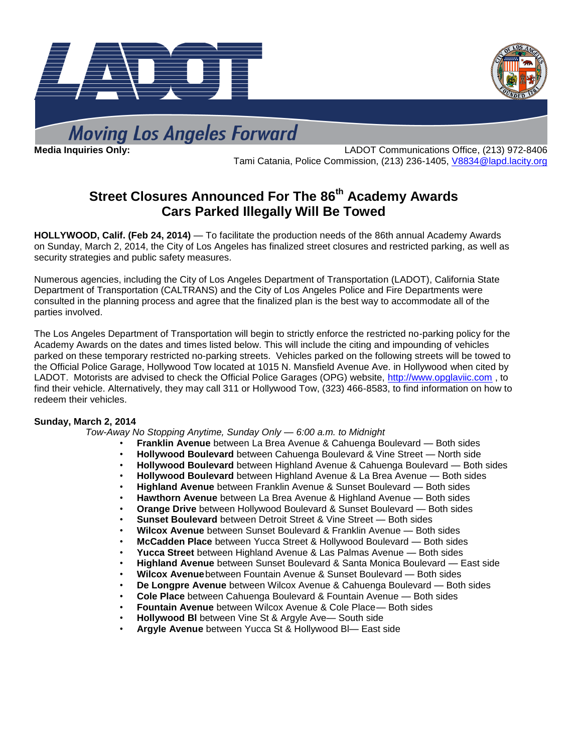



**Moving Los Angeles Forward** 

**Media Inquiries Only:** LADOT Communications Office, (213) 972-8406 Tami Catania, Police Commission, (213) 236-1405, [V8834@lapd.lacity.org](mailto:V8834@lapd.lacity.org)

# **Street Closures Announced For The 86 th Academy Awards Cars Parked Illegally Will Be Towed**

**HOLLYWOOD, Calif. (Feb 24, 2014)** — To facilitate the production needs of the 86th annual Academy Awards on Sunday, March 2, 2014, the City of Los Angeles has finalized street closures and restricted parking, as well as security strategies and public safety measures.

Numerous agencies, including the City of Los Angeles Department of Transportation (LADOT), California State Department of Transportation (CALTRANS) and the City of Los Angeles Police and Fire Departments were consulted in the planning process and agree that the finalized plan is the best way to accommodate all of the parties involved.

The Los Angeles Department of Transportation will begin to strictly enforce the restricted no-parking policy for the Academy Awards on the dates and times listed below. This will include the citing and impounding of vehicles parked on these temporary restricted no-parking streets. Vehicles parked on the following streets will be towed to the Official Police Garage, Hollywood Tow located at 1015 N. Mansfield Avenue Ave. in Hollywood when cited by LADOT. Motorists are advised to check the Official Police Garages (OPG) website, [http://www.opglaviic.com](http://www.opglaviic.com/) , to find their vehicle. Alternatively, they may call 311 or Hollywood Tow, (323) 466-8583, to find information on how to redeem their vehicles.

#### **Sunday, March 2, 2014**

*Tow-Away No Stopping Anytime, Sunday Only — 6:00 a.m. to Midnight*

- **Franklin Avenue** between La Brea Avenue & Cahuenga Boulevard Both sides
- **Hollywood Boulevard** between Cahuenga Boulevard & Vine Street North side
- **Hollywood Boulevard** between Highland Avenue & Cahuenga Boulevard Both sides
- **Hollywood Boulevard** between Highland Avenue & La Brea Avenue Both sides
- **Highland Avenue** between Franklin Avenue & Sunset Boulevard Both sides
- **Hawthorn Avenue** between La Brea Avenue & Highland Avenue Both sides
- **Orange Drive** between Hollywood Boulevard & Sunset Boulevard Both sides
- **Sunset Boulevard** between Detroit Street & Vine Street Both sides
- **Wilcox Avenue** between Sunset Boulevard & Franklin Avenue Both sides
- **McCadden Place** between Yucca Street & Hollywood Boulevard Both sides
- **Yucca Street** between Highland Avenue & Las Palmas Avenue Both sides
- **Highland Avenue** between Sunset Boulevard & Santa Monica Boulevard East side
- **Wilcox Avenue**between Fountain Avenue & Sunset Boulevard Both sides
- **De Longpre Avenue** between Wilcox Avenue & Cahuenga Boulevard Both sides
- **Cole Place** between Cahuenga Boulevard & Fountain Avenue Both sides
- **Fountain Avenue** between Wilcox Avenue & Cole Place— Both sides
- **Hollywood Bl** between Vine St & Argyle Ave— South side
- **Argyle Avenue** between Yucca St & Hollywood Bl— East side